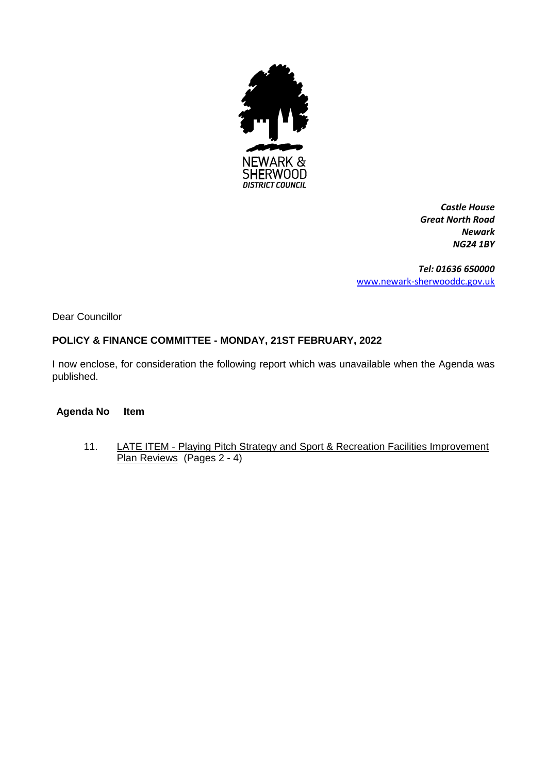

*Castle House Great North Road Newark NG24 1BY*

*Tel: 01636 650000* [www.newark-sherwooddc.gov.uk](http://www.newark-sherwooddc.gov.uk/)

Dear Councillor

# **POLICY & FINANCE COMMITTEE - MONDAY, 21ST FEBRUARY, 2022**

I now enclose, for consideration the following report which was unavailable when the Agenda was published.

#### **Agenda No Item**

11. LATE ITEM - Playing Pitch Strategy and Sport & Recreation Facilities Improvement Plan Reviews (Pages 2 - 4)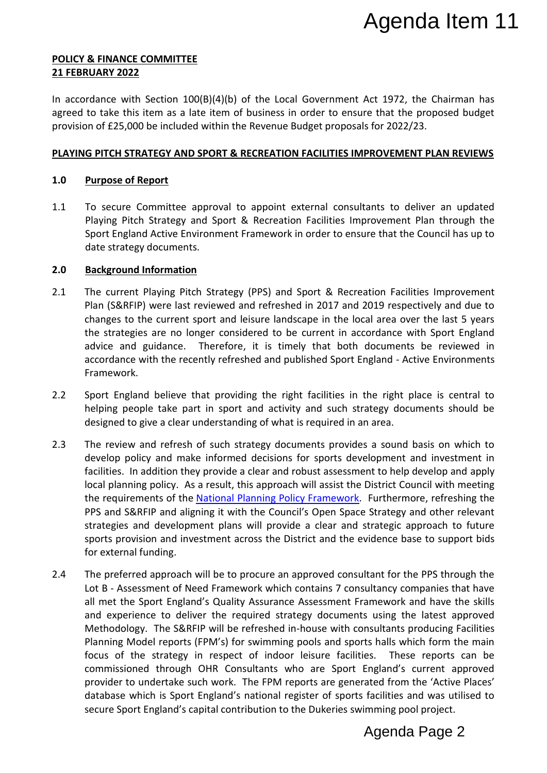#### **POLICY & FINANCE COMMITTEE 21 FEBRUARY 2022**

In accordance with Section  $100(B)(4)(b)$  of the Local Government Act 1972, the Chairman has agreed to take this item as a late item of business in order to ensure that the proposed budget provision of £25,000 be included within the Revenue Budget proposals for 2022/23.

# **PLAYING PITCH STRATEGY AND SPORT & RECREATION FACILITIES IMPROVEMENT PLAN REVIEWS**

# **1.0 Purpose of Report**

1.1 To secure Committee approval to appoint external consultants to deliver an updated Playing Pitch Strategy and Sport & Recreation Facilities Improvement Plan through the Sport England Active Environment Framework in order to ensure that the Council has up to date strategy documents.

#### **2.0 Background Information**

- 2.1 The current Playing Pitch Strategy (PPS) and Sport & Recreation Facilities Improvement Plan (S&RFIP) were last reviewed and refreshed in 2017 and 2019 respectively and due to changes to the current sport and leisure landscape in the local area over the last 5 years the strategies are no longer considered to be current in accordance with Sport England advice and guidance. Therefore, it is timely that both documents be reviewed in accordance with the recently refreshed and published Sport England - Active Environments Framework.
- 2.2 Sport England believe that providing the right facilities in the right place is central to helping people take part in sport and activity and such strategy documents should be designed to give a clear understanding of what is required in an area.
- 2.3 The review and refresh of such strategy documents provides a sound basis on which to develop policy and make informed decisions for sports development and investment in facilities. In addition they provide a clear and robust assessment to help develop and apply local planning policy. As a result, this approach will assist the District Council with meeting the requirements of the [National Planning Policy Framework.](https://www.gov.uk/government/publications/national-planning-policy-framework--2) Furthermore, refreshing the PPS and S&RFIP and aligning it with the Council's Open Space Strategy and other relevant strategies and development plans will provide a clear and strategic approach to future sports provision and investment across the District and the evidence base to support bids for external funding.
- 2.4 The preferred approach will be to procure an approved consultant for the PPS through the Lot B - Assessment of Need Framework which contains 7 consultancy companies that have all met the Sport England's Quality Assurance Assessment Framework and have the skills and experience to deliver the required strategy documents using the latest approved Methodology. The S&RFIP will be refreshed in-house with consultants producing Facilities Planning Model reports (FPM's) for swimming pools and sports halls which form the main focus of the strategy in respect of indoor leisure facilities. These reports can be commissioned through OHR Consultants who are Sport England's current approved provider to undertake such work. The FPM reports are generated from the 'Active Places' database which is Sport England's national register of sports facilities and was utilised to secure Sport England's capital contribution to the Dukeries swimming pool project. Agenda Item 11<br>Act 1972, the Chairman has<br>re that the proposed budget<br>sfor 2022/23.<br>**PROVEMENT PLAN REVIEWS**<br>tants to deliver an updated<br>provement Plan through the<br>are that the Council has up to<br>ation Facilities Improvemen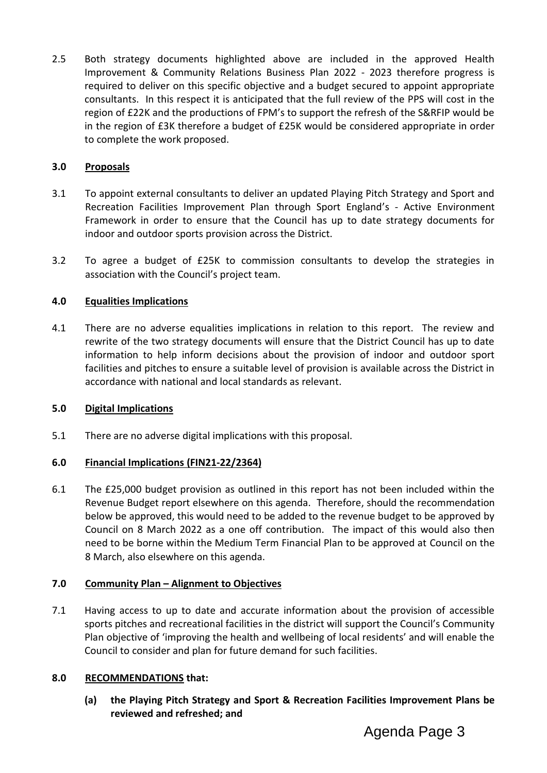2.5 Both strategy documents highlighted above are included in the approved Health Improvement & Community Relations Business Plan 2022 - 2023 therefore progress is required to deliver on this specific objective and a budget secured to appoint appropriate consultants. In this respect it is anticipated that the full review of the PPS will cost in the region of £22K and the productions of FPM's to support the refresh of the S&RFIP would be in the region of £3K therefore a budget of £25K would be considered appropriate in order to complete the work proposed.

# **3.0 Proposals**

- 3.1 To appoint external consultants to deliver an updated Playing Pitch Strategy and Sport and Recreation Facilities Improvement Plan through Sport England's - Active Environment Framework in order to ensure that the Council has up to date strategy documents for indoor and outdoor sports provision across the District.
- 3.2 To agree a budget of £25K to commission consultants to develop the strategies in association with the Council's project team.

# **4.0 Equalities Implications**

4.1 There are no adverse equalities implications in relation to this report. The review and rewrite of the two strategy documents will ensure that the District Council has up to date information to help inform decisions about the provision of indoor and outdoor sport facilities and pitches to ensure a suitable level of provision is available across the District in accordance with national and local standards as relevant.

# **5.0 Digital Implications**

5.1 There are no adverse digital implications with this proposal.

# **6.0 Financial Implications (FIN21-22/2364)**

6.1 The £25,000 budget provision as outlined in this report has not been included within the Revenue Budget report elsewhere on this agenda. Therefore, should the recommendation below be approved, this would need to be added to the revenue budget to be approved by Council on 8 March 2022 as a one off contribution. The impact of this would also then need to be borne within the Medium Term Financial Plan to be approved at Council on the 8 March, also elsewhere on this agenda.

# **7.0 Community Plan – Alignment to Objectives**

7.1 Having access to up to date and accurate information about the provision of accessible sports pitches and recreational facilities in the district will support the Council's Community Plan objective of 'improving the health and wellbeing of local residents' and will enable the Council to consider and plan for future demand for such facilities.

# **8.0 RECOMMENDATIONS that:**

**(a) the Playing Pitch Strategy and Sport & Recreation Facilities Improvement Plans be reviewed and refreshed; and**